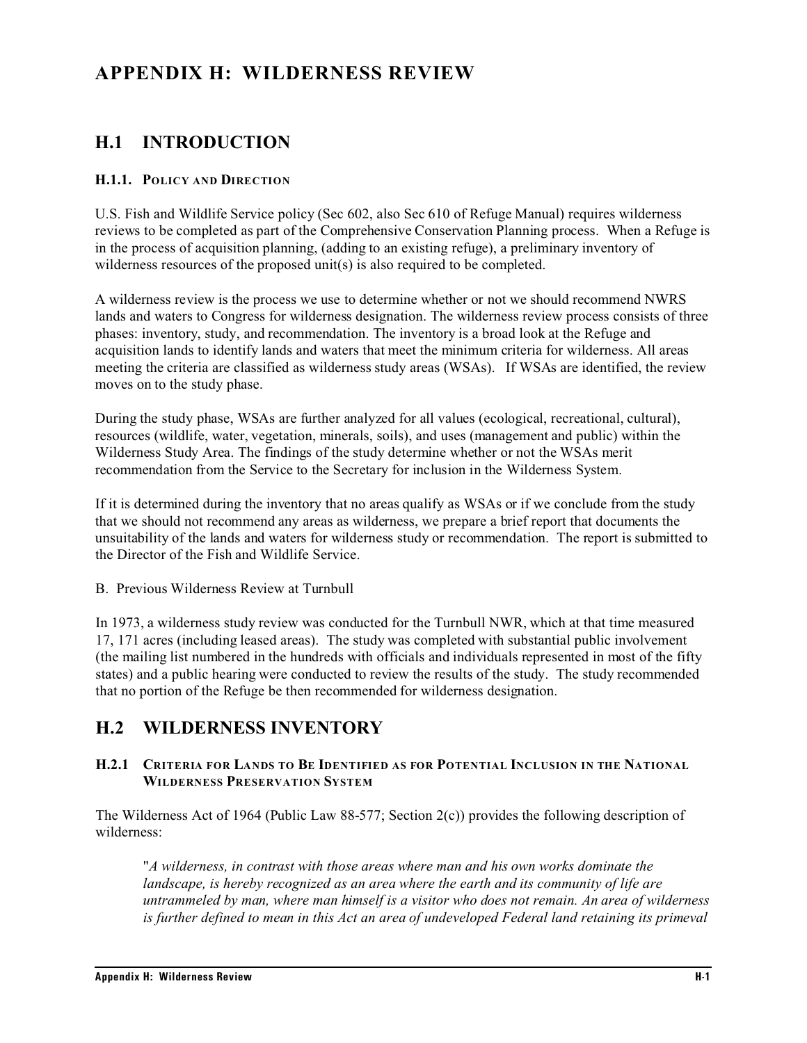# **APPENDIX H: WILDERNESS REVIEW**

## **H.1 INTRODUCTION**

#### **H.1.1. POLICY AND DIRECTION**

U.S. Fish and Wildlife Service policy (Sec 602, also Sec 610 of Refuge Manual) requires wilderness reviews to be completed as part of the Comprehensive Conservation Planning process. When a Refuge is in the process of acquisition planning, (adding to an existing refuge), a preliminary inventory of wilderness resources of the proposed unit(s) is also required to be completed.

A wilderness review is the process we use to determine whether or not we should recommend NWRS lands and waters to Congress for wilderness designation. The wilderness review process consists of three phases: inventory, study, and recommendation. The inventory is a broad look at the Refuge and acquisition lands to identify lands and waters that meet the minimum criteria for wilderness. All areas meeting the criteria are classified as wilderness study areas (WSAs). If WSAs are identified, the review moves on to the study phase.

During the study phase, WSAs are further analyzed for all values (ecological, recreational, cultural), resources (wildlife, water, vegetation, minerals, soils), and uses (management and public) within the Wilderness Study Area. The findings of the study determine whether or not the WSAs merit recommendation from the Service to the Secretary for inclusion in the Wilderness System.

If it is determined during the inventory that no areas qualify as WSAs or if we conclude from the study that we should not recommend any areas as wilderness, we prepare a brief report that documents the unsuitability of the lands and waters for wilderness study or recommendation. The report is submitted to the Director of the Fish and Wildlife Service.

B. Previous Wilderness Review at Turnbull

In 1973, a wilderness study review was conducted for the Turnbull NWR, which at that time measured 17, 171 acres (including leased areas). The study was completed with substantial public involvement (the mailing list numbered in the hundreds with officials and individuals represented in most of the fifty states) and a public hearing were conducted to review the results of the study. The study recommended that no portion of the Refuge be then recommended for wilderness designation.

## **H.2 WILDERNESS INVENTORY**

### **H.2.1 CRITERIA FOR LANDS TO BE IDENTIFIED AS FOR POTENTIAL INCLUSION IN THE NATIONAL WILDERNESS PRESERVATION SYSTEM**

The Wilderness Act of 1964 (Public Law 88-577; Section 2(c)) provides the following description of wilderness:

"*A wilderness, in contrast with those areas where man and his own works dominate the landscape, is hereby recognized as an area where the earth and its community of life are untrammeled by man, where man himself is a visitor who does not remain. An area of wilderness is further defined to mean in this Act an area of undeveloped Federal land retaining its primeval*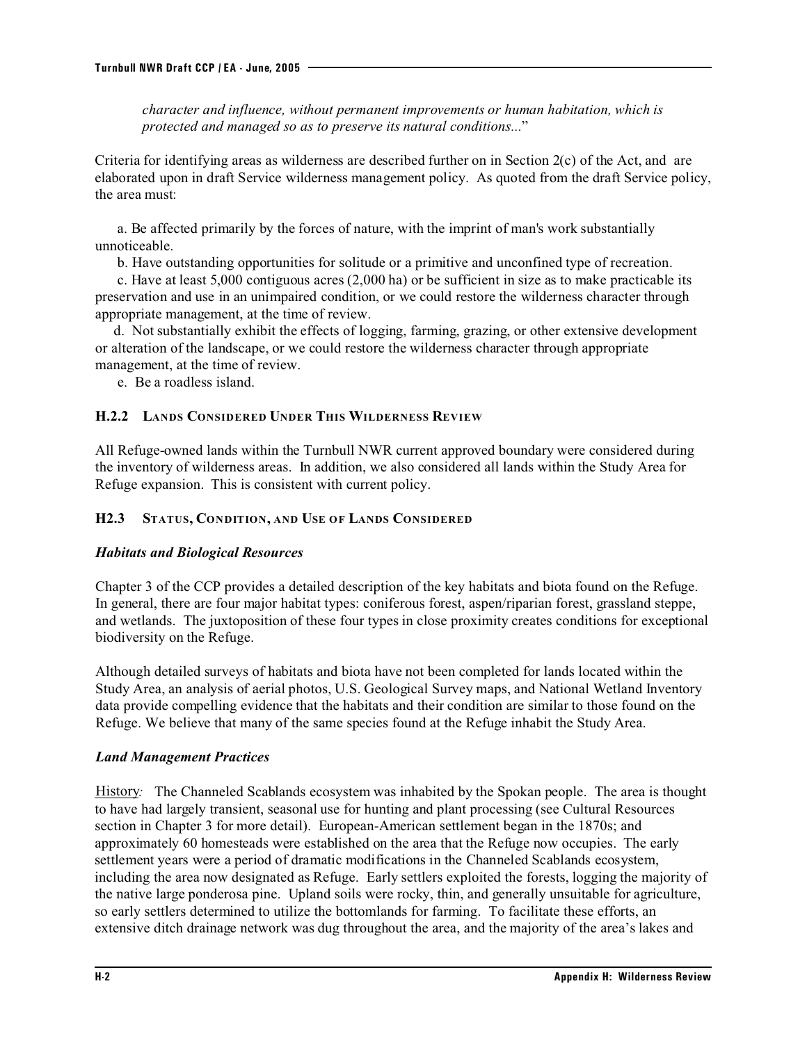*character and influence, without permanent improvements or human habitation, which is protected and managed so as to preserve its natural conditions...*"

Criteria for identifying areas as wilderness are described further on in Section  $2(c)$  of the Act, and are elaborated upon in draft Service wilderness management policy. As quoted from the draft Service policy, the area must:

 a. Be affected primarily by the forces of nature, with the imprint of man's work substantially unnoticeable.

b. Have outstanding opportunities for solitude or a primitive and unconfined type of recreation.

 c. Have at least 5,000 contiguous acres (2,000 ha) or be sufficient in size as to make practicable its preservation and use in an unimpaired condition, or we could restore the wilderness character through appropriate management, at the time of review.

 d. Not substantially exhibit the effects of logging, farming, grazing, or other extensive development or alteration of the landscape, or we could restore the wilderness character through appropriate management, at the time of review.

e. Be a roadless island.

### **H.2.2 LANDS CONSIDERED UNDER THIS WILDERNESS REVIEW**

All Refuge-owned lands within the Turnbull NWR current approved boundary were considered during the inventory of wilderness areas. In addition, we also considered all lands within the Study Area for Refuge expansion. This is consistent with current policy.

### **H2.3 STATUS, CONDITION, AND USE OF LANDS CONSIDERED**

### *Habitats and Biological Resources*

Chapter 3 of the CCP provides a detailed description of the key habitats and biota found on the Refuge. In general, there are four major habitat types: coniferous forest, aspen/riparian forest, grassland steppe, and wetlands. The juxtoposition of these four types in close proximity creates conditions for exceptional biodiversity on the Refuge.

Although detailed surveys of habitats and biota have not been completed for lands located within the Study Area, an analysis of aerial photos, U.S. Geological Survey maps, and National Wetland Inventory data provide compelling evidence that the habitats and their condition are similar to those found on the Refuge. We believe that many of the same species found at the Refuge inhabit the Study Area.

### *Land Management Practices*

History*:* The Channeled Scablands ecosystem was inhabited by the Spokan people. The area is thought to have had largely transient, seasonal use for hunting and plant processing (see Cultural Resources section in Chapter 3 for more detail). European-American settlement began in the 1870s; and approximately 60 homesteads were established on the area that the Refuge now occupies. The early settlement years were a period of dramatic modifications in the Channeled Scablands ecosystem, including the area now designated as Refuge. Early settlers exploited the forests, logging the majority of the native large ponderosa pine. Upland soils were rocky, thin, and generally unsuitable for agriculture, so early settlers determined to utilize the bottomlands for farming. To facilitate these efforts, an extensive ditch drainage network was dug throughout the area, and the majority of the area's lakes and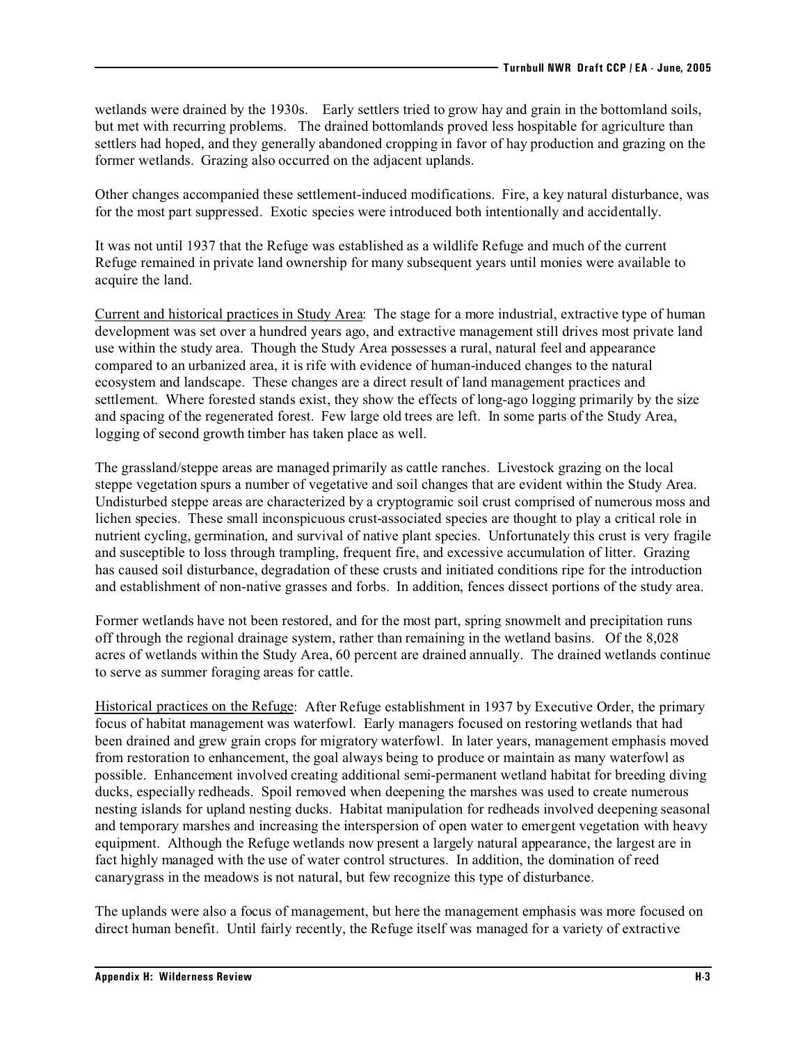wetlands were drained by the 1930s. Early settlers tried to grow hay and grain in the bottomland soils, but met with recurring problems. The drained bottomlands proved less hospitable for agriculture than settlers had hoped, and they generally abandoned cropping in favor of hay production and grazing on the former wetlands. Grazing also occurred on the adjacent uplands.

Other changes accompanied these settlement-induced modifications. Fire, a key natural disturbance, was for the most part suppressed. Exotic species were introduced both intentionally and accidentally.

It was not until 1937 that the Refuge was established as a wildlife Refuge and much of the current Refuge remained in private land ownership for many subsequent years until monies were available to acquire the land.

Current and historical practices in Study Area: The stage for a more industrial, extractive type of human development was set over a hundred years ago, and extractive management still drives most private land use within the study area. Though the Study Area possesses a rural, natural feel and appearance compared to an urbanized area, it is rife with evidence of human-induced changes to the natural ecosystem and landscape. These changes are a direct result of land management practices and settlement. Where forested stands exist, they show the effects of long-ago logging primarily by the size and spacing of the regenerated forest. Few large old trees are left. In some parts of the Study Area, logging of second growth timber has taken place as well.

The grassland/steppe areas are managed primarily as cattle ranches. Livestock grazing on the local steppe vegetation spurs a number of vegetative and soil changes that are evident within the Study Area. Undisturbed steppe areas are characterized by a cryptogramic soil crust comprised of numerous moss and lichen species. These small inconspicuous crust-associated species are thought to play a critical role in nutrient cycling, germination, and survival of native plant species. Unfortunately this crust is very fragile and susceptible to loss through trampling, frequent fire, and excessive accumulation of litter. Grazing has caused soil disturbance, degradation of these crusts and initiated conditions ripe for the introduction and establishment of non-native grasses and forbs. In addition, fences dissect portions of the study area.

Former wetlands have not been restored, and for the most part, spring snowmelt and precipitation runs off through the regional drainage system, rather than remaining in the wetland basins. Of the 8,028 acres of wetlands within the Study Area, 60 percent are drained annually. The drained wetlands continue to serve as summer foraging areas for cattle.

Historical practices on the Refuge: After Refuge establishment in 1937 by Executive Order, the primary focus of habitat management was waterfowl. Early managers focused on restoring wetlands that had been drained and grew grain crops for migratory waterfowl. In later years, management emphasis moved from restoration to enhancement, the goal always being to produce or maintain as many waterfowl as possible. Enhancement involved creating additional semi-permanent wetland habitat for breeding diving ducks, especially redheads. Spoil removed when deepening the marshes was used to create numerous nesting islands for upland nesting ducks. Habitat manipulation for redheads involved deepening seasonal and temporary marshes and increasing the interspersion of open water to emergent vegetation with heavy equipment. Although the Refuge wetlands now present a largely natural appearance, the largest are in fact highly managed with the use of water control structures. In addition, the domination of reed canarygrass in the meadows is not natural, but few recognize this type of disturbance.

The uplands were also a focus of management, but here the management emphasis was more focused on direct human benefit. Until fairly recently, the Refuge itself was managed for a variety of extractive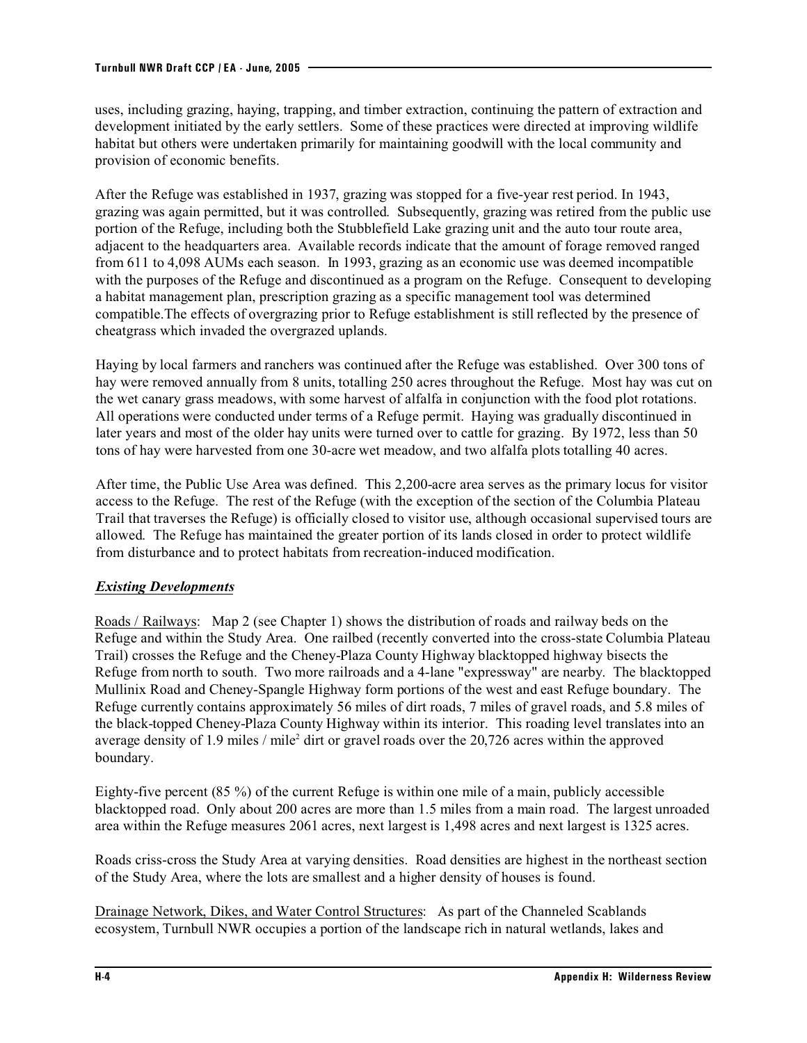uses, including grazing, haying, trapping, and timber extraction, continuing the pattern of extraction and development initiated by the early settlers. Some of these practices were directed at improving wildlife habitat but others were undertaken primarily for maintaining goodwill with the local community and provision of economic benefits.

After the Refuge was established in 1937, grazing was stopped for a five-year rest period. In 1943, grazing was again permitted, but it was controlled. Subsequently, grazing was retired from the public use portion of the Refuge, including both the Stubblefield Lake grazing unit and the auto tour route area, adjacent to the headquarters area. Available records indicate that the amount of forage removed ranged from 611 to 4,098 AUMs each season. In 1993, grazing as an economic use was deemed incompatible with the purposes of the Refuge and discontinued as a program on the Refuge. Consequent to developing a habitat management plan, prescription grazing as a specific management tool was determined compatible.The effects of overgrazing prior to Refuge establishment is still reflected by the presence of cheatgrass which invaded the overgrazed uplands.

Haying by local farmers and ranchers was continued after the Refuge was established. Over 300 tons of hay were removed annually from 8 units, totalling 250 acres throughout the Refuge. Most hay was cut on the wet canary grass meadows, with some harvest of alfalfa in conjunction with the food plot rotations. All operations were conducted under terms of a Refuge permit. Haying was gradually discontinued in later years and most of the older hay units were turned over to cattle for grazing. By 1972, less than 50 tons of hay were harvested from one 30-acre wet meadow, and two alfalfa plots totalling 40 acres.

After time, the Public Use Area was defined. This 2,200-acre area serves as the primary locus for visitor access to the Refuge. The rest of the Refuge (with the exception of the section of the Columbia Plateau Trail that traverses the Refuge) is officially closed to visitor use, although occasional supervised tours are allowed. The Refuge has maintained the greater portion of its lands closed in order to protect wildlife from disturbance and to protect habitats from recreation-induced modification.

### *Existing Developments*

Roads / Railways: Map 2 (see Chapter 1) shows the distribution of roads and railway beds on the Refuge and within the Study Area. One railbed (recently converted into the cross-state Columbia Plateau Trail) crosses the Refuge and the Cheney-Plaza County Highway blacktopped highway bisects the Refuge from north to south. Two more railroads and a 4-lane "expressway" are nearby. The blacktopped Mullinix Road and Cheney-Spangle Highway form portions of the west and east Refuge boundary. The Refuge currently contains approximately 56 miles of dirt roads, 7 miles of gravel roads, and 5.8 miles of the black-topped Cheney-Plaza County Highway within its interior. This roading level translates into an average density of 1.9 miles / mile<sup>2</sup> dirt or gravel roads over the 20,726 acres within the approved boundary.

Eighty-five percent (85 %) of the current Refuge is within one mile of a main, publicly accessible blacktopped road. Only about 200 acres are more than 1.5 miles from a main road. The largest unroaded area within the Refuge measures 2061 acres, next largest is 1,498 acres and next largest is 1325 acres.

Roads criss-cross the Study Area at varying densities. Road densities are highest in the northeast section of the Study Area, where the lots are smallest and a higher density of houses is found.

Drainage Network, Dikes, and Water Control Structures: As part of the Channeled Scablands ecosystem, Turnbull NWR occupies a portion of the landscape rich in natural wetlands, lakes and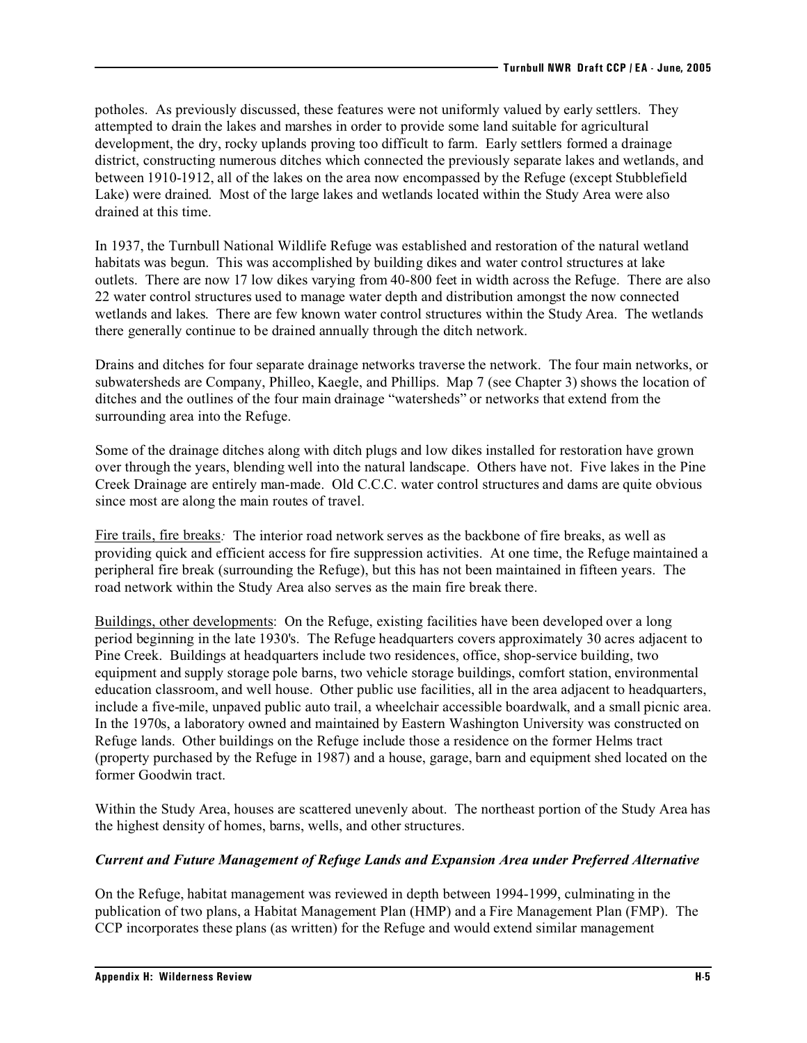potholes. As previously discussed, these features were not uniformly valued by early settlers. They attempted to drain the lakes and marshes in order to provide some land suitable for agricultural development, the dry, rocky uplands proving too difficult to farm. Early settlers formed a drainage district, constructing numerous ditches which connected the previously separate lakes and wetlands, and between 1910-1912, all of the lakes on the area now encompassed by the Refuge (except Stubblefield Lake) were drained. Most of the large lakes and wetlands located within the Study Area were also drained at this time.

In 1937, the Turnbull National Wildlife Refuge was established and restoration of the natural wetland habitats was begun. This was accomplished by building dikes and water control structures at lake outlets. There are now 17 low dikes varying from 40-800 feet in width across the Refuge. There are also 22 water control structures used to manage water depth and distribution amongst the now connected wetlands and lakes. There are few known water control structures within the Study Area. The wetlands there generally continue to be drained annually through the ditch network.

Drains and ditches for four separate drainage networks traverse the network. The four main networks, or subwatersheds are Company, Philleo, Kaegle, and Phillips. Map 7 (see Chapter 3) shows the location of ditches and the outlines of the four main drainage "watersheds" or networks that extend from the surrounding area into the Refuge.

Some of the drainage ditches along with ditch plugs and low dikes installed for restoration have grown over through the years, blending well into the natural landscape. Others have not. Five lakes in the Pine Creek Drainage are entirely man-made. Old C.C.C. water control structures and dams are quite obvious since most are along the main routes of travel.

Fire trails, fire breaks*:* The interior road network serves as the backbone of fire breaks, as well as providing quick and efficient access for fire suppression activities. At one time, the Refuge maintained a peripheral fire break (surrounding the Refuge), but this has not been maintained in fifteen years. The road network within the Study Area also serves as the main fire break there.

Buildings, other developments: On the Refuge, existing facilities have been developed over a long period beginning in the late 1930's. The Refuge headquarters covers approximately 30 acres adjacent to Pine Creek. Buildings at headquarters include two residences, office, shop-service building, two equipment and supply storage pole barns, two vehicle storage buildings, comfort station, environmental education classroom, and well house. Other public use facilities, all in the area adjacent to headquarters, include a five-mile, unpaved public auto trail, a wheelchair accessible boardwalk, and a small picnic area. In the 1970s, a laboratory owned and maintained by Eastern Washington University was constructed on Refuge lands. Other buildings on the Refuge include those a residence on the former Helms tract (property purchased by the Refuge in 1987) and a house, garage, barn and equipment shed located on the former Goodwin tract.

Within the Study Area, houses are scattered unevenly about. The northeast portion of the Study Area has the highest density of homes, barns, wells, and other structures.

### *Current and Future Management of Refuge Lands and Expansion Area under Preferred Alternative*

On the Refuge, habitat management was reviewed in depth between 1994-1999, culminating in the publication of two plans, a Habitat Management Plan (HMP) and a Fire Management Plan (FMP). The CCP incorporates these plans (as written) for the Refuge and would extend similar management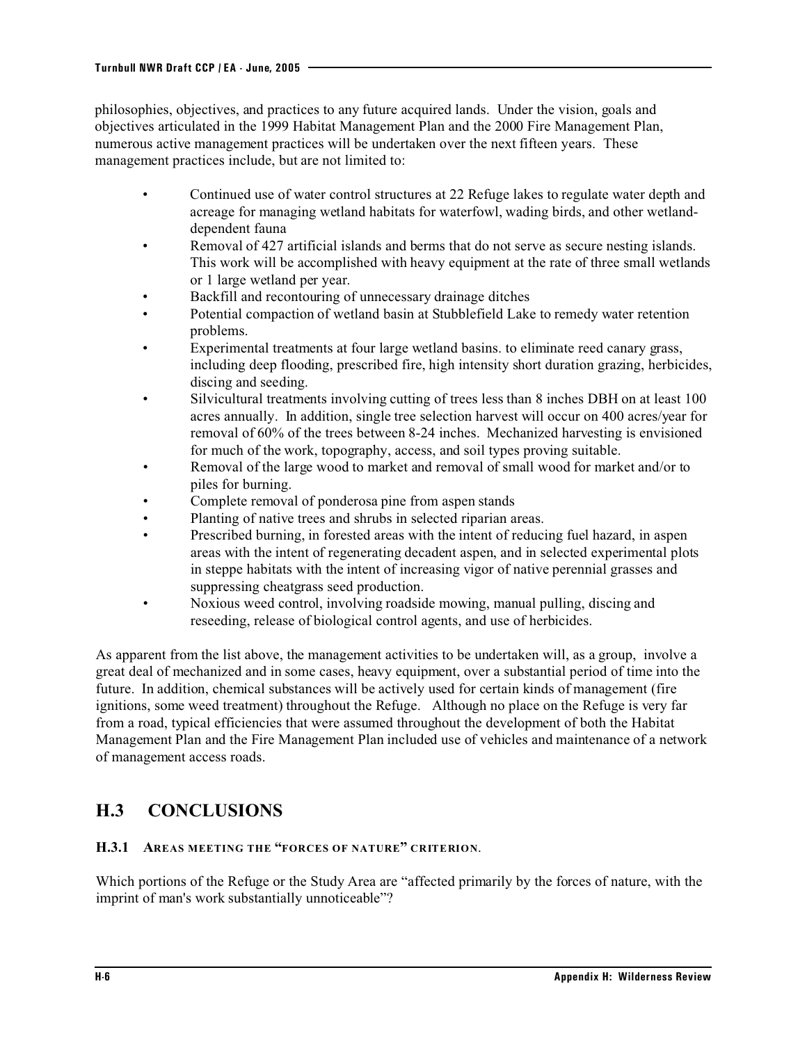philosophies, objectives, and practices to any future acquired lands. Under the vision, goals and objectives articulated in the 1999 Habitat Management Plan and the 2000 Fire Management Plan, numerous active management practices will be undertaken over the next fifteen years. These management practices include, but are not limited to:

- Continued use of water control structures at 22 Refuge lakes to regulate water depth and acreage for managing wetland habitats for waterfowl, wading birds, and other wetlanddependent fauna
- Removal of 427 artificial islands and berms that do not serve as secure nesting islands. This work will be accomplished with heavy equipment at the rate of three small wetlands or 1 large wetland per year.
- Backfill and recontouring of unnecessary drainage ditches
- Potential compaction of wetland basin at Stubblefield Lake to remedy water retention problems.
- Experimental treatments at four large wetland basins. to eliminate reed canary grass, including deep flooding, prescribed fire, high intensity short duration grazing, herbicides, discing and seeding.
- Silvicultural treatments involving cutting of trees less than 8 inches DBH on at least 100 acres annually. In addition, single tree selection harvest will occur on 400 acres/year for removal of 60% of the trees between 8-24 inches. Mechanized harvesting is envisioned for much of the work, topography, access, and soil types proving suitable.
- Removal of the large wood to market and removal of small wood for market and/or to piles for burning.
- Complete removal of ponderosa pine from aspen stands
- Planting of native trees and shrubs in selected riparian areas.
- Prescribed burning, in forested areas with the intent of reducing fuel hazard, in aspen areas with the intent of regenerating decadent aspen, and in selected experimental plots in steppe habitats with the intent of increasing vigor of native perennial grasses and suppressing cheatgrass seed production.
- Noxious weed control, involving roadside mowing, manual pulling, discing and reseeding, release of biological control agents, and use of herbicides.

As apparent from the list above, the management activities to be undertaken will, as a group, involve a great deal of mechanized and in some cases, heavy equipment, over a substantial period of time into the future. In addition, chemical substances will be actively used for certain kinds of management (fire ignitions, some weed treatment) throughout the Refuge. Although no place on the Refuge is very far from a road, typical efficiencies that were assumed throughout the development of both the Habitat Management Plan and the Fire Management Plan included use of vehicles and maintenance of a network of management access roads.

## **H.3 CONCLUSIONS**

#### **H.3.1 AREAS MEETING THE "FORCES OF NATURE" CRITERION**.

Which portions of the Refuge or the Study Area are "affected primarily by the forces of nature, with the imprint of man's work substantially unnoticeable"?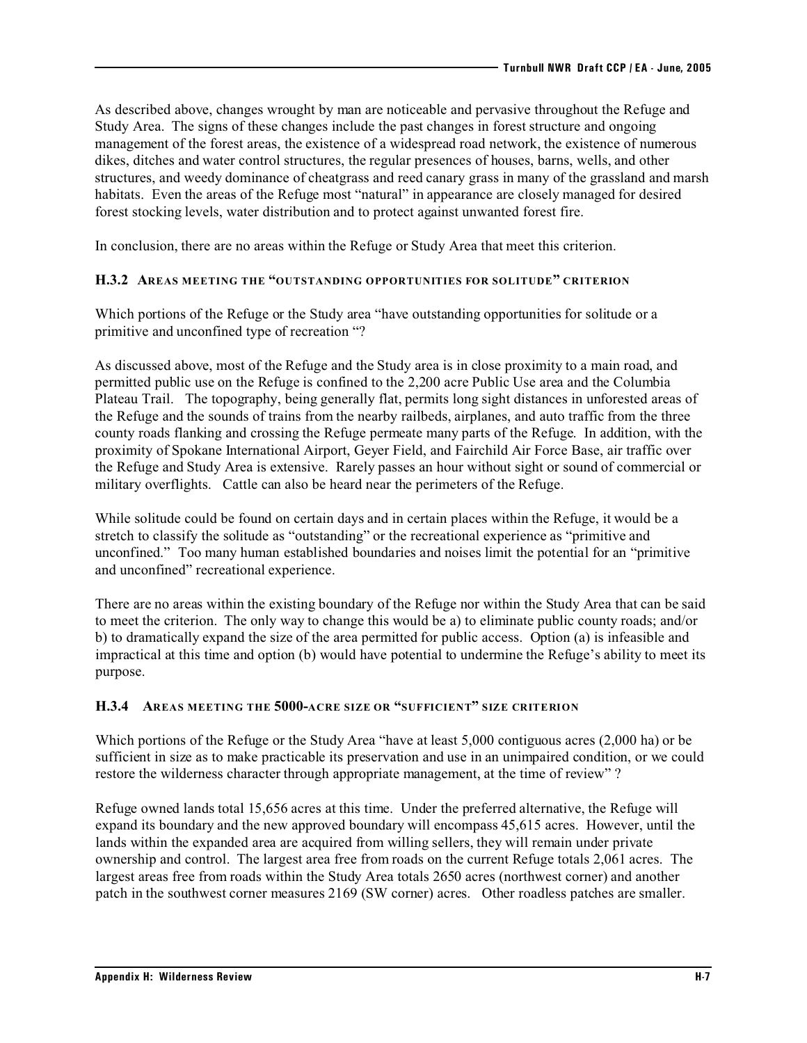As described above, changes wrought by man are noticeable and pervasive throughout the Refuge and Study Area. The signs of these changes include the past changes in forest structure and ongoing management of the forest areas, the existence of a widespread road network, the existence of numerous dikes, ditches and water control structures, the regular presences of houses, barns, wells, and other structures, and weedy dominance of cheatgrass and reed canary grass in many of the grassland and marsh habitats. Even the areas of the Refuge most "natural" in appearance are closely managed for desired forest stocking levels, water distribution and to protect against unwanted forest fire.

In conclusion, there are no areas within the Refuge or Study Area that meet this criterion.

#### **H.3.2 AREAS MEETING THE "OUTSTANDING OPPORTUNITIES FOR SOLITUDE" CRITERION**

Which portions of the Refuge or the Study area "have outstanding opportunities for solitude or a primitive and unconfined type of recreation "?

As discussed above, most of the Refuge and the Study area is in close proximity to a main road, and permitted public use on the Refuge is confined to the 2,200 acre Public Use area and the Columbia Plateau Trail. The topography, being generally flat, permits long sight distances in unforested areas of the Refuge and the sounds of trains from the nearby railbeds, airplanes, and auto traffic from the three county roads flanking and crossing the Refuge permeate many parts of the Refuge. In addition, with the proximity of Spokane International Airport, Geyer Field, and Fairchild Air Force Base, air traffic over the Refuge and Study Area is extensive. Rarely passes an hour without sight or sound of commercial or military overflights. Cattle can also be heard near the perimeters of the Refuge.

While solitude could be found on certain days and in certain places within the Refuge, it would be a stretch to classify the solitude as "outstanding" or the recreational experience as "primitive and unconfined." Too many human established boundaries and noises limit the potential for an "primitive and unconfined" recreational experience.

There are no areas within the existing boundary of the Refuge nor within the Study Area that can be said to meet the criterion. The only way to change this would be a) to eliminate public county roads; and/or b) to dramatically expand the size of the area permitted for public access. Option (a) is infeasible and impractical at this time and option (b) would have potential to undermine the Refuge's ability to meet its purpose.

### **H.3.4 AREAS MEETING THE 5000-ACRE SIZE OR "SUFFICIENT" SIZE CRITERION**

Which portions of the Refuge or the Study Area "have at least 5,000 contiguous acres (2,000 ha) or be sufficient in size as to make practicable its preservation and use in an unimpaired condition, or we could restore the wilderness character through appropriate management, at the time of review" ?

Refuge owned lands total 15,656 acres at this time. Under the preferred alternative, the Refuge will expand its boundary and the new approved boundary will encompass 45,615 acres. However, until the lands within the expanded area are acquired from willing sellers, they will remain under private ownership and control. The largest area free from roads on the current Refuge totals 2,061 acres. The largest areas free from roads within the Study Area totals 2650 acres (northwest corner) and another patch in the southwest corner measures 2169 (SW corner) acres. Other roadless patches are smaller.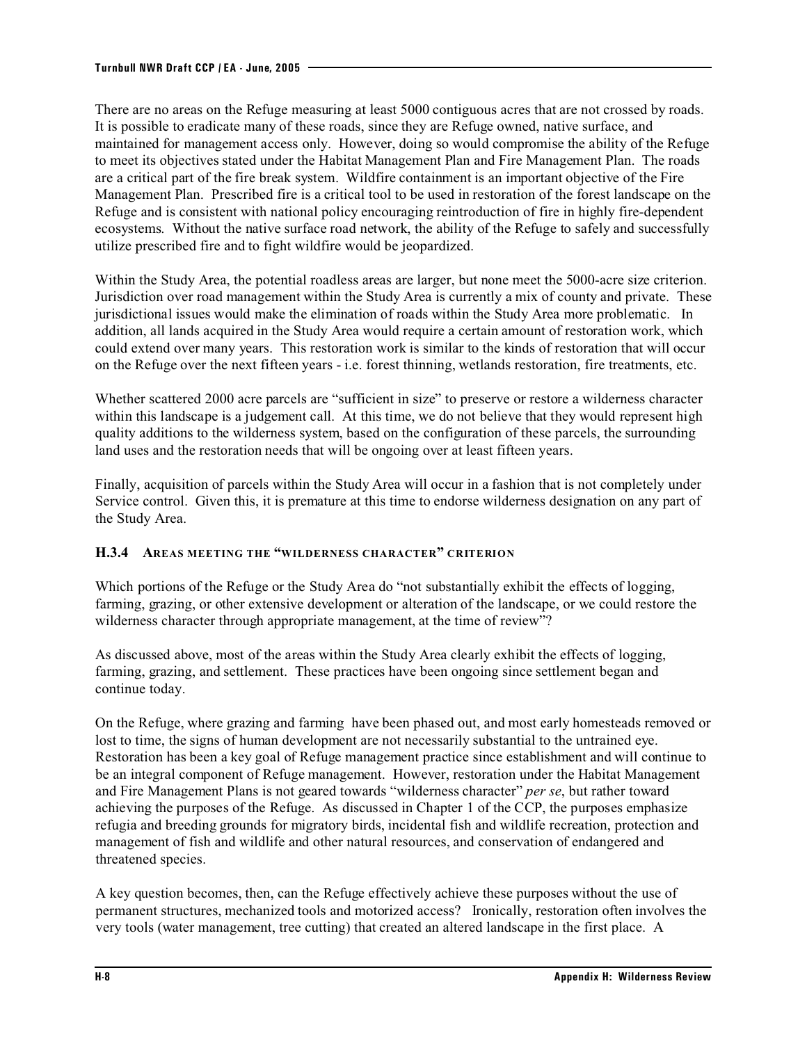There are no areas on the Refuge measuring at least 5000 contiguous acres that are not crossed by roads. It is possible to eradicate many of these roads, since they are Refuge owned, native surface, and maintained for management access only. However, doing so would compromise the ability of the Refuge to meet its objectives stated under the Habitat Management Plan and Fire Management Plan. The roads are a critical part of the fire break system. Wildfire containment is an important objective of the Fire Management Plan. Prescribed fire is a critical tool to be used in restoration of the forest landscape on the Refuge and is consistent with national policy encouraging reintroduction of fire in highly fire-dependent ecosystems. Without the native surface road network, the ability of the Refuge to safely and successfully utilize prescribed fire and to fight wildfire would be jeopardized.

Within the Study Area, the potential roadless areas are larger, but none meet the 5000-acre size criterion. Jurisdiction over road management within the Study Area is currently a mix of county and private. These jurisdictional issues would make the elimination of roads within the Study Area more problematic. In addition, all lands acquired in the Study Area would require a certain amount of restoration work, which could extend over many years. This restoration work is similar to the kinds of restoration that will occur on the Refuge over the next fifteen years - i.e. forest thinning, wetlands restoration, fire treatments, etc.

Whether scattered 2000 acre parcels are "sufficient in size" to preserve or restore a wilderness character within this landscape is a judgement call. At this time, we do not believe that they would represent high quality additions to the wilderness system, based on the configuration of these parcels, the surrounding land uses and the restoration needs that will be ongoing over at least fifteen years.

Finally, acquisition of parcels within the Study Area will occur in a fashion that is not completely under Service control. Given this, it is premature at this time to endorse wilderness designation on any part of the Study Area.

### **H.3.4 AREAS MEETING THE "WILDERNESS CHARACTER" CRITERION**

Which portions of the Refuge or the Study Area do "not substantially exhibit the effects of logging, farming, grazing, or other extensive development or alteration of the landscape, or we could restore the wilderness character through appropriate management, at the time of review"?

As discussed above, most of the areas within the Study Area clearly exhibit the effects of logging, farming, grazing, and settlement. These practices have been ongoing since settlement began and continue today.

On the Refuge, where grazing and farming have been phased out, and most early homesteads removed or lost to time, the signs of human development are not necessarily substantial to the untrained eye. Restoration has been a key goal of Refuge management practice since establishment and will continue to be an integral component of Refuge management. However, restoration under the Habitat Management and Fire Management Plans is not geared towards "wilderness character" *per se*, but rather toward achieving the purposes of the Refuge. As discussed in Chapter 1 of the CCP, the purposes emphasize refugia and breeding grounds for migratory birds, incidental fish and wildlife recreation, protection and management of fish and wildlife and other natural resources, and conservation of endangered and threatened species.

A key question becomes, then, can the Refuge effectively achieve these purposes without the use of permanent structures, mechanized tools and motorized access? Ironically, restoration often involves the very tools (water management, tree cutting) that created an altered landscape in the first place. A